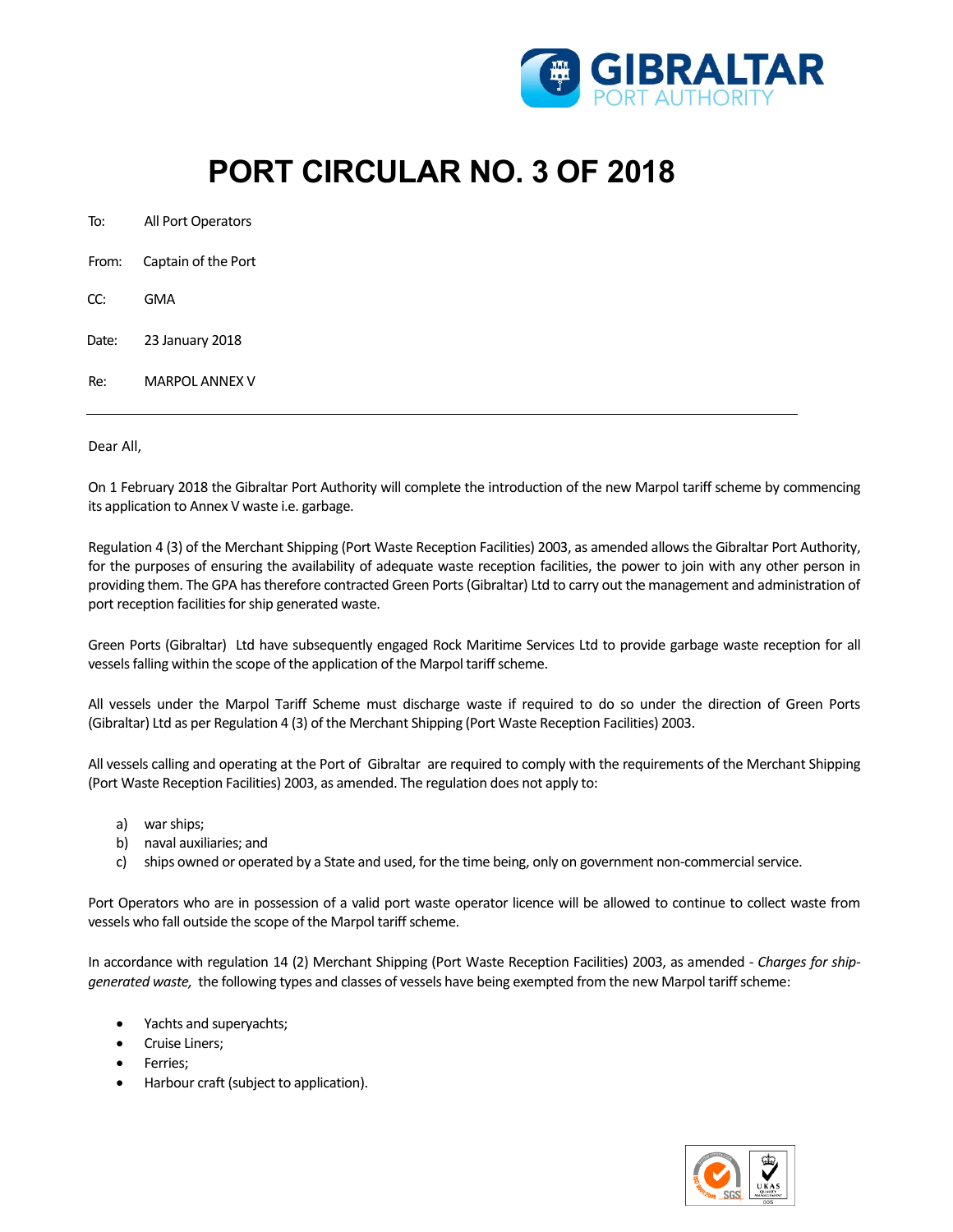

## **PORT CIRCULAR NO. 3 OF 2018**

| To:   | All Port Operators  |
|-------|---------------------|
| From: | Captain of the Port |
| CC:   | GMA                 |
| Date: | 23 January 2018     |
| R۴.   | MARPOL ANNFX V      |

Dear All,

On 1 February 2018 the Gibraltar Port Authority will complete the introduction of the new Marpol tariff scheme by commencing its application to Annex V waste i.e. garbage.

Regulation 4 (3) of the Merchant Shipping (Port Waste Reception Facilities) 2003, as amended allows the Gibraltar Port Authority, for the purposes of ensuring the availability of adequate waste reception facilities, the power to join with any other person in providing them. The GPA hastherefore contracted Green Ports(Gibraltar) Ltd to carry out the management and administration of port reception facilities for ship generated waste.

Green Ports (Gibraltar) Ltd have subsequently engaged Rock Maritime Services Ltd to provide garbage waste reception for all vessels falling within the scope of the application of the Marpol tariff scheme.

All vessels under the Marpol Tariff Scheme must discharge waste if required to do so under the direction of Green Ports (Gibraltar) Ltd as per Regulation 4 (3) of the Merchant Shipping (Port Waste Reception Facilities) 2003.

All vessels calling and operating at the Port of Gibraltar are required to comply with the requirements of the Merchant Shipping (Port Waste Reception Facilities) 2003, as amended. The regulation does not apply to:

- a) war ships;
- b) naval auxiliaries; and
- c) ships owned or operated by a State and used, for the time being, only on government non-commercial service.

Port Operators who are in possession of a valid port waste operator licence will be allowed to continue to collect waste from vessels who fall outside the scope of the Marpol tariff scheme.

In accordance with regulation 14 (2) Merchant Shipping (Port Waste Reception Facilities) 2003, as amended - *Charges for shipgenerated waste,* the following types and classes of vessels have being exempted from the new Marpol tariff scheme:

- Yachts and superyachts;
- Cruise Liners;
- Ferries;
- Harbour craft (subject to application).